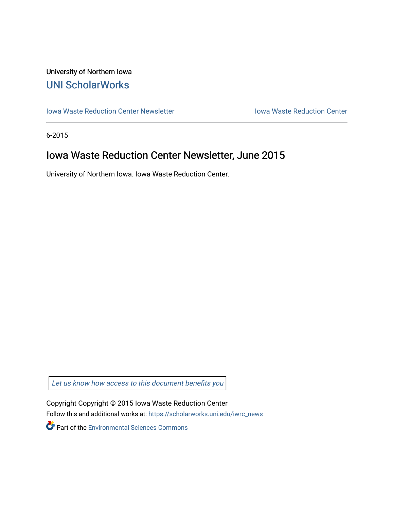# University of Northern Iowa [UNI ScholarWorks](https://scholarworks.uni.edu/)

[Iowa Waste Reduction Center Newsletter](https://scholarworks.uni.edu/iwrc_news) **Internal Communist Communist Center** Iowa Waste Reduction Center

6-2015

# Iowa Waste Reduction Center Newsletter, June 2015

University of Northern Iowa. Iowa Waste Reduction Center.

Let us know how access to this document benefits you

Copyright Copyright © 2015 Iowa Waste Reduction Center Follow this and additional works at: [https://scholarworks.uni.edu/iwrc\\_news](https://scholarworks.uni.edu/iwrc_news?utm_source=scholarworks.uni.edu%2Fiwrc_news%2F90&utm_medium=PDF&utm_campaign=PDFCoverPages) 

**Part of the [Environmental Sciences Commons](http://network.bepress.com/hgg/discipline/167?utm_source=scholarworks.uni.edu%2Fiwrc_news%2F90&utm_medium=PDF&utm_campaign=PDFCoverPages)**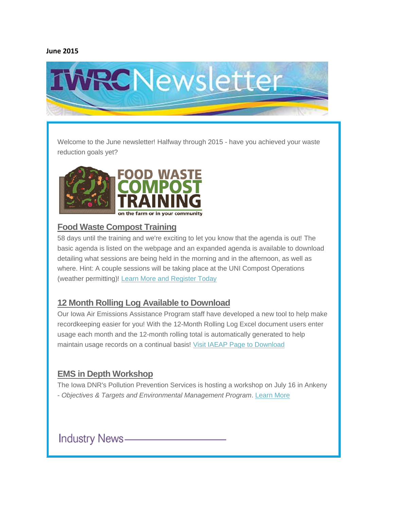### **June 2015**



Welcome to the June newsletter! Halfway through 2015 - have you achieved your waste reduction goals yet?



## **Food Waste Compost Training**

58 days until the training and we're exciting to let you know that the agenda is out! The basic agenda is listed on the webpage and an expanded agenda is available to download detailing what sessions are being held in the morning and in the afternoon, as well as where. Hint: A couple sessions will be taking place at the UNI Compost Operations (weather permitting)! [Learn More and Register Today](http://iwrc.org/compost)

# **12 Month Rolling Log Available to Download**

Our Iowa Air Emissions Assistance Program staff have developed a new tool to help make recordkeeping easier for you! With the 12-Month Rolling Log Excel document users enter usage each month and the 12-month rolling total is automatically generated to help maintain usage records on a continual basis! [Visit IAEAP Page to Download](http://iwrc.uni.edu/services/iaeap/)

# **EMS in Depth Workshop**

The Iowa DNR's Pollution Prevention Services is hosting a workshop on July 16 in Ankeny - *Objectives & Targets and Environmental Management Program*. [Learn](http://iwrc.uni.edu/about/newsroom/events/calendar/ems-in-depth-workshop/) More

**Industry News-**